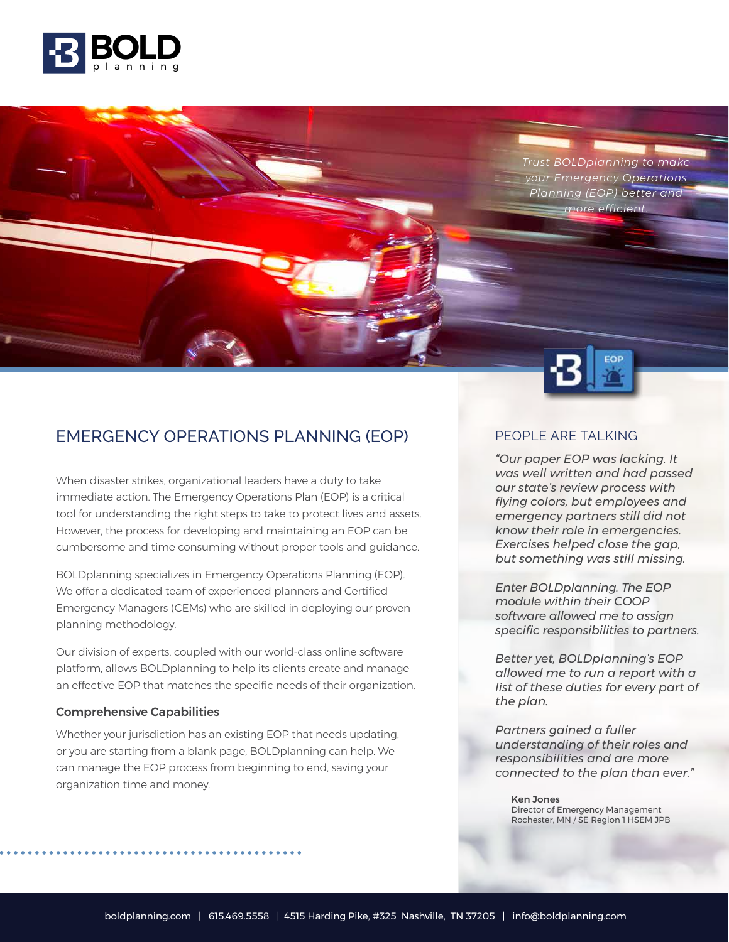

*Trust BOLDplanning to make your Emergency Operations Planning (EOP) better and more efficient.*



# EMERGENCY OPERATIONS PLANNING (EOP)

When disaster strikes, organizational leaders have a duty to take immediate action. The Emergency Operations Plan (EOP) is a critical tool for understanding the right steps to take to protect lives and assets. However, the process for developing and maintaining an EOP can be cumbersome and time consuming without proper tools and guidance.

BOLDplanning specializes in Emergency Operations Planning (EOP). We offer a dedicated team of experienced planners and Certified Emergency Managers (CEMs) who are skilled in deploying our proven planning methodology.

Our division of experts, coupled with our world-class online software platform, allows BOLDplanning to help its clients create and manage an effective EOP that matches the specific needs of their organization.

#### Comprehensive Capabilities

Whether your jurisdiction has an existing EOP that needs updating, or you are starting from a blank page, BOLDplanning can help. We can manage the EOP process from beginning to end, saving your organization time and money.

#### PEOPLE ARE TALKING

*"Our paper EOP was lacking. It was well written and had passed our state's review process with flying colors, but employees and emergency partners still did not know their role in emergencies. Exercises helped close the gap, but something was still missing.* 

*Enter BOLDplanning. The EOP module within their COOP software allowed me to assign specific responsibilities to partners.* 

*Better yet, BOLDplanning's EOP allowed me to run a report with a list of these duties for every part of the plan.* 

*Partners gained a fuller understanding of their roles and responsibilities and are more connected to the plan than ever."*

Ken Jones Director of Emergency Management Rochester, MN / SE Region 1 HSEM JPB